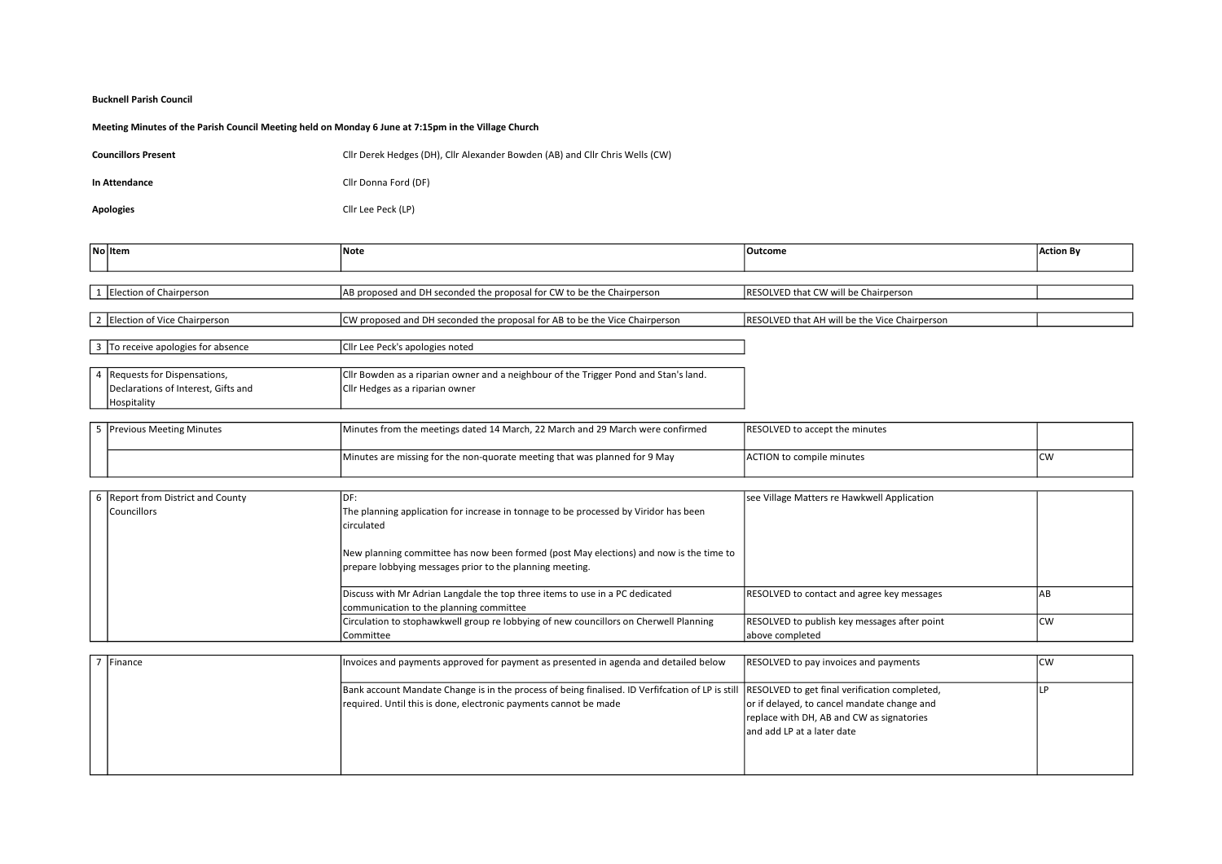## Bucknell Parish Council

## Meeting Minutes of the Parish Council Meeting held on Monday 6 June at 7:15pm in the Village Church

| <b>Councillors Present</b> | Cllr Derek Hedges (DH), Cllr Alexander Bowden (AB) and Cllr Chris Wells (CW) |
|----------------------------|------------------------------------------------------------------------------|
| In Attendance              | Cllr Donna Ford (DF)                                                         |

Apologies Cllr Lee Peck (LP)

| No Item                             | <b>Note</b>                                                                          | Outcome                                       | <b>Action By</b> |
|-------------------------------------|--------------------------------------------------------------------------------------|-----------------------------------------------|------------------|
|                                     |                                                                                      |                                               |                  |
|                                     |                                                                                      |                                               |                  |
| 1 Election of Chairperson           | AB proposed and DH seconded the proposal for CW to be the Chairperson                | RESOLVED that CW will be Chairperson          |                  |
|                                     |                                                                                      |                                               |                  |
| 2 Election of Vice Chairperson      | CW proposed and DH seconded the proposal for AB to be the Vice Chairperson           | RESOLVED that AH will be the Vice Chairperson |                  |
|                                     |                                                                                      |                                               |                  |
| 3 To receive apologies for absence  | Cllr Lee Peck's apologies noted                                                      |                                               |                  |
|                                     |                                                                                      |                                               |                  |
| 4 Requests for Dispensations,       | Cllr Bowden as a riparian owner and a neighbour of the Trigger Pond and Stan's land. |                                               |                  |
| Declarations of Interest, Gifts and | Cllr Hedges as a riparian owner                                                      |                                               |                  |
| Hospitality                         |                                                                                      |                                               |                  |
|                                     |                                                                                      |                                               |                  |
| 5 Previous Meeting Minutes          | Minutes from the meetings dated 14 March, 22 March and 29 March were confirmed       | <b>RESOLVED to accept the minutes</b>         |                  |
|                                     |                                                                                      |                                               |                  |
|                                     | Minutes are missing for the non-quorate meeting that was planned for 9 May           | <b>ACTION to compile minutes</b>              | <b>CW</b>        |
|                                     |                                                                                      |                                               |                  |

| 6 Report from District and County | IDF:                                                                                   | see Village Matters re Hawkwell Application       |            |
|-----------------------------------|----------------------------------------------------------------------------------------|---------------------------------------------------|------------|
| Councillors                       | The planning application for increase in tonnage to be processed by Viridor has been   |                                                   |            |
|                                   | lcirculated                                                                            |                                                   |            |
|                                   |                                                                                        |                                                   |            |
|                                   | New planning committee has now been formed (post May elections) and now is the time to |                                                   |            |
|                                   | prepare lobbying messages prior to the planning meeting.                               |                                                   |            |
|                                   |                                                                                        |                                                   |            |
|                                   | Discuss with Mr Adrian Langdale the top three items to use in a PC dedicated           | <b>RESOLVED to contact and agree key messages</b> | <b>JAB</b> |
|                                   | communication to the planning committee                                                |                                                   |            |
|                                   | Circulation to stophawkwell group re lobbying of new councillors on Cherwell Planning  | RESOLVED to publish key messages after point      | <b>CW</b>  |
|                                   | Committee                                                                              | above completed                                   |            |

| <b>IFinance</b> | Invoices and payments approved for payment as presented in agenda and detailed below                                                            | <b>RESOLVED to pay invoices and payments</b> | Icw |
|-----------------|-------------------------------------------------------------------------------------------------------------------------------------------------|----------------------------------------------|-----|
|                 |                                                                                                                                                 |                                              |     |
|                 | Bank account Mandate Change is in the process of being finalised. ID Verfifcation of LP is still  RESOLVED to get final verification completed, |                                              |     |
|                 | required. Until this is done, electronic payments cannot be made                                                                                | or if delayed, to cancel mandate change and  |     |
|                 |                                                                                                                                                 | replace with DH, AB and CW as signatories    |     |
|                 |                                                                                                                                                 | land add LP at a later date                  |     |
|                 |                                                                                                                                                 |                                              |     |
|                 |                                                                                                                                                 |                                              |     |
|                 |                                                                                                                                                 |                                              |     |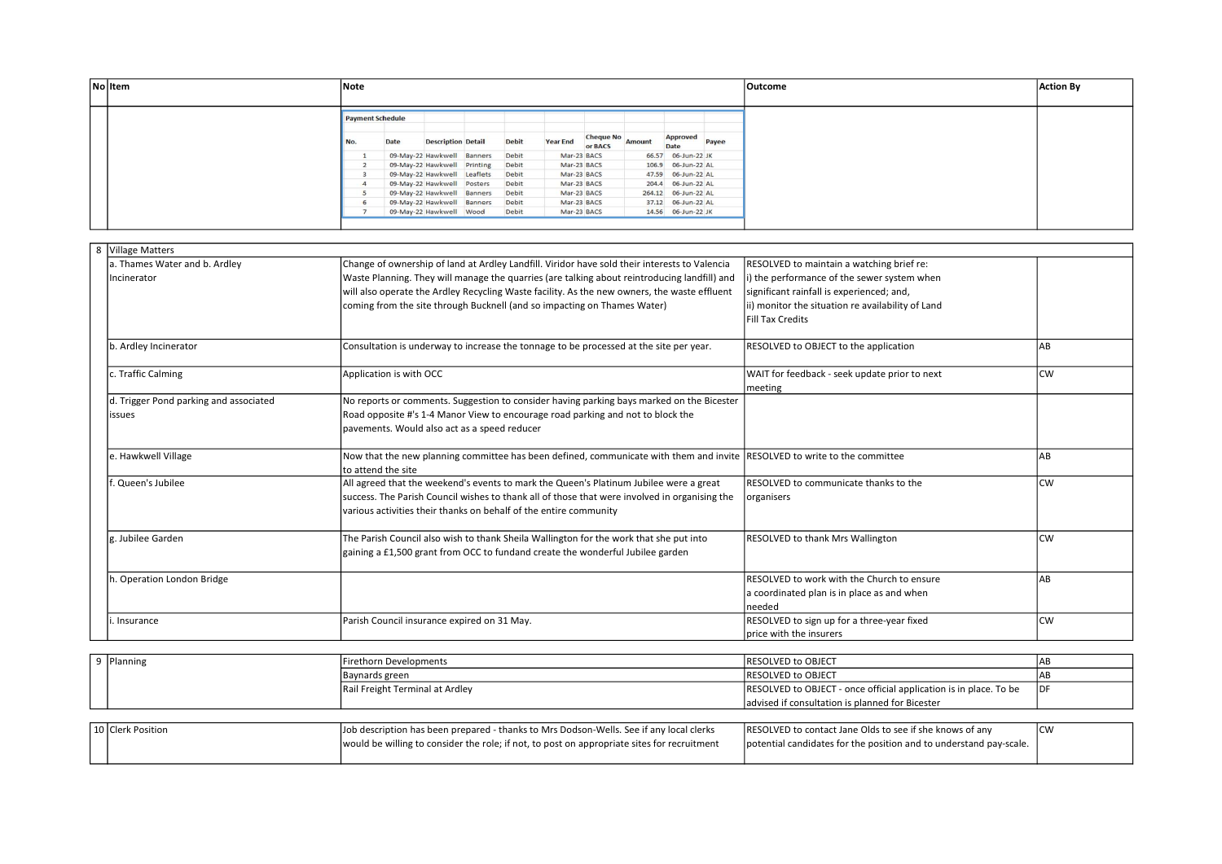| No Item | Note                    |      |                                   |  |              |                           |  |  | Outcome                | <b>Action By</b> |  |  |
|---------|-------------------------|------|-----------------------------------|--|--------------|---------------------------|--|--|------------------------|------------------|--|--|
|         | <b>Payment Schedule</b> |      |                                   |  |              |                           |  |  |                        |                  |  |  |
|         | No.                     | Date | <b>Description Detail</b>         |  | <b>Debit</b> | Year End Cheque No Amount |  |  | Approved Payee<br>Date |                  |  |  |
|         |                         |      | 09-May-22 Hawkwell Banners        |  | Debit        | Mar-23 BACS               |  |  | 66.57 06-Jun-22 JK     |                  |  |  |
|         |                         |      | 09-May-22 Hawkwell Printing       |  | Debit        | Mar-23 BACS               |  |  | 106.9 06-Jun-22 AL     |                  |  |  |
|         |                         |      | 09-May-22 Hawkwell Leaflets Debit |  |              | Mar-23 BACS               |  |  | 47.59 06-Jun-22 AL     |                  |  |  |
|         |                         |      | 09-May-22 Hawkwell Posters Debit  |  |              | Mar-23 BACS               |  |  | 204.4 06-Jun-22 AL     |                  |  |  |
|         |                         |      | 09-May-22 Hawkwell Banners Debit  |  |              | Mar-23 BACS               |  |  | 264.12 06-Jun-22 AL    |                  |  |  |
|         |                         |      | 09-May-22 Hawkwell Banners Debit  |  |              | Mar-23 BACS               |  |  | 37.12 06-Jun-22 AL     |                  |  |  |
|         |                         |      | 09-May-22 Hawkwell Wood           |  | Debit        | Mar-23 BACS               |  |  | 14.56 06-Jun-22 JK     |                  |  |  |
|         |                         |      |                                   |  |              |                           |  |  |                        |                  |  |  |

| 8 | Village Matters                        |                                                                                                                                                 |                                                   |           |
|---|----------------------------------------|-------------------------------------------------------------------------------------------------------------------------------------------------|---------------------------------------------------|-----------|
|   | a. Thames Water and b. Ardley          | Change of ownership of land at Ardley Landfill. Viridor have sold their interests to Valencia                                                   | RESOLVED to maintain a watching brief re:         |           |
|   | Incinerator                            | Waste Planning. They will manage the quarries (are talking about reintroducing landfill) and                                                    | i) the performance of the sewer system when       |           |
|   |                                        | will also operate the Ardley Recycling Waste facility. As the new owners, the waste effluent                                                    | significant rainfall is experienced; and,         |           |
|   |                                        | coming from the site through Bucknell (and so impacting on Thames Water)                                                                        | ii) monitor the situation re availability of Land |           |
|   |                                        |                                                                                                                                                 | <b>Fill Tax Credits</b>                           |           |
|   |                                        |                                                                                                                                                 |                                                   |           |
|   | b. Ardley Incinerator                  | Consultation is underway to increase the tonnage to be processed at the site per year.                                                          | RESOLVED to OBJECT to the application             | AB        |
|   |                                        |                                                                                                                                                 |                                                   |           |
|   | c. Traffic Calming                     | Application is with OCC                                                                                                                         | WAIT for feedback - seek update prior to next     | <b>CW</b> |
|   |                                        |                                                                                                                                                 | meeting                                           |           |
|   | d. Trigger Pond parking and associated | No reports or comments. Suggestion to consider having parking bays marked on the Bicester                                                       |                                                   |           |
|   | issues                                 | Road opposite #'s 1-4 Manor View to encourage road parking and not to block the                                                                 |                                                   |           |
|   |                                        | pavements. Would also act as a speed reducer                                                                                                    |                                                   |           |
|   |                                        |                                                                                                                                                 |                                                   |           |
|   | e. Hawkwell Village                    | Now that the new planning committee has been defined, communicate with them and invite RESOLVED to write to the committee<br>to attend the site |                                                   | AB        |
|   | lf. Queen's Jubilee                    | All agreed that the weekend's events to mark the Queen's Platinum Jubilee were a great                                                          | RESOLVED to communicate thanks to the             | lcw       |
|   |                                        | success. The Parish Council wishes to thank all of those that were involved in organising the                                                   |                                                   |           |
|   |                                        |                                                                                                                                                 | organisers                                        |           |
|   |                                        | various activities their thanks on behalf of the entire community                                                                               |                                                   |           |
|   | lg. Jubilee Garden                     | The Parish Council also wish to thank Sheila Wallington for the work that she put into                                                          | RESOLVED to thank Mrs Wallington                  | <b>CW</b> |
|   |                                        | gaining a £1,500 grant from OCC to fundand create the wonderful Jubilee garden                                                                  |                                                   |           |
|   |                                        |                                                                                                                                                 |                                                   |           |
|   | h. Operation London Bridge             |                                                                                                                                                 | RESOLVED to work with the Church to ensure        | AB        |
|   |                                        |                                                                                                                                                 | a coordinated plan is in place as and when        |           |
|   |                                        |                                                                                                                                                 | needed                                            |           |
|   | i. Insurance                           | Parish Council insurance expired on 31 May.                                                                                                     | RESOLVED to sign up for a three-year fixed        | <b>CW</b> |
|   |                                        |                                                                                                                                                 | Iprice with the insurers                          |           |

| Planning          | Firethorn Developments                                                                      | <b>IRESOLVED to OBJECT</b>                                         |            |
|-------------------|---------------------------------------------------------------------------------------------|--------------------------------------------------------------------|------------|
|                   | Baynards green                                                                              | <b>IRESOLVED to OBJECT</b>                                         | IAB        |
|                   | Rail Freight Terminal at Ardley                                                             | RESOLVED to OBJECT - once official application is in place. To be  | DF         |
|                   |                                                                                             | advised if consultation is planned for Bicester                    |            |
|                   |                                                                                             |                                                                    |            |
| 10 Clerk Position | Job description has been prepared - thanks to Mrs Dodson-Wells. See if any local clerks     | RESOLVED to contact Jane Olds to see if she knows of any           | <b>ICW</b> |
|                   | would be willing to consider the role; if not, to post on appropriate sites for recruitment | potential candidates for the position and to understand pay-scale. |            |
|                   |                                                                                             |                                                                    |            |